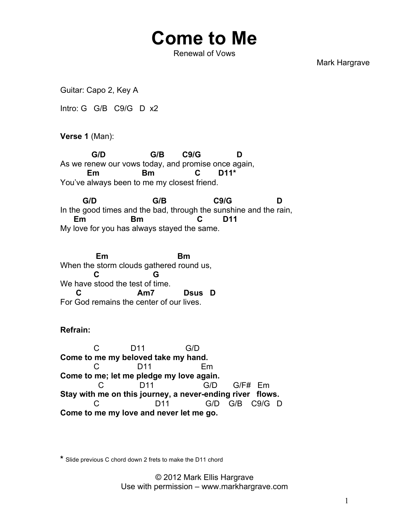## **Come to Me**

Renewal of Vows

Mark Hargrave

Guitar: Capo 2, Key A

Intro: G G/B C9/G D x2

**Verse 1** (Man):

 **G/D G/B C9/G D** As we renew our vows today, and promise once again,  **Em Bm C D11\*** You've always been to me my closest friend.

 **G/D G/B C9/G D** In the good times and the bad, through the sunshine and the rain,  **Em Bm C D11** My love for you has always stayed the same.

 **Em Bm** When the storm clouds gathered round us,  **C G** We have stood the test of time. Am7 Dsus D For God remains the center of our lives.

**Refrain:**

 C D11 G/D **Come to me my beloved take my hand.**  C D11 Em **Come to me; let me pledge my love again.** C D11 G/D G/F# Em **Stay with me on this journey, a never-ending river flows.** C D11 G/D G/B C9/G D **Come to me my love and never let me go.**

**\*** Slide previous C chord down 2 frets to make the D11 chord

© 2012 Mark Ellis Hargrave Use with permission – www.markhargrave.com